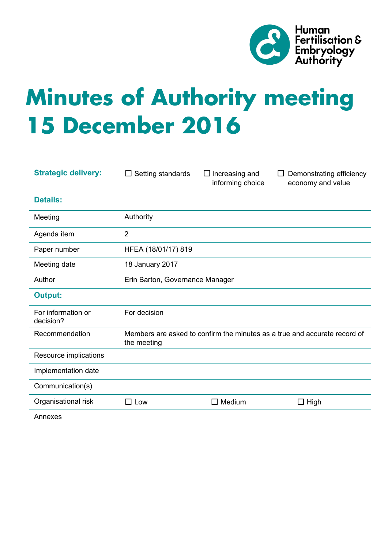

# **Minutes of Authority meeting 15 December 2016**

| <b>Strategic delivery:</b>      | Setting standards<br>$\Box$                                                              | $\Box$ Increasing and<br>informing choice | Demonstrating efficiency<br>economy and value |
|---------------------------------|------------------------------------------------------------------------------------------|-------------------------------------------|-----------------------------------------------|
| <b>Details:</b>                 |                                                                                          |                                           |                                               |
| Meeting                         | Authority                                                                                |                                           |                                               |
| Agenda item                     | $\overline{2}$                                                                           |                                           |                                               |
| Paper number                    | HFEA (18/01/17) 819                                                                      |                                           |                                               |
| Meeting date                    | 18 January 2017                                                                          |                                           |                                               |
| Author                          | Erin Barton, Governance Manager                                                          |                                           |                                               |
| <b>Output:</b>                  |                                                                                          |                                           |                                               |
| For information or<br>decision? | For decision                                                                             |                                           |                                               |
| Recommendation                  | Members are asked to confirm the minutes as a true and accurate record of<br>the meeting |                                           |                                               |
| Resource implications           |                                                                                          |                                           |                                               |
| Implementation date             |                                                                                          |                                           |                                               |
| Communication(s)                |                                                                                          |                                           |                                               |
| Organisational risk             | Low                                                                                      | Medium<br>П                               | High<br>□                                     |
|                                 |                                                                                          |                                           |                                               |

Annexes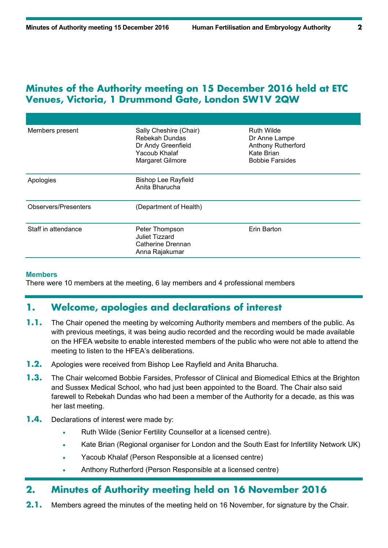## **Minutes of the Authority meeting on 15 December 2016 held at ETC Venues, Victoria, 1 Drummond Gate, London SW1V 2QW**

| Members present      | Sally Cheshire (Chair)<br>Rebekah Dundas<br>Dr Andy Greenfield<br>Yacoub Khalaf<br>Margaret Gilmore | <b>Ruth Wilde</b><br>Dr Anne Lampe<br><b>Anthony Rutherford</b><br>Kate Brian<br><b>Bobbie Farsides</b> |
|----------------------|-----------------------------------------------------------------------------------------------------|---------------------------------------------------------------------------------------------------------|
| Apologies            | <b>Bishop Lee Rayfield</b><br>Anita Bharucha                                                        |                                                                                                         |
| Observers/Presenters | (Department of Health)                                                                              |                                                                                                         |
| Staff in attendance  | Erin Barton<br>Peter Thompson<br><b>Juliet Tizzard</b><br>Catherine Drennan<br>Anna Rajakumar       |                                                                                                         |

#### **Members**

There were 10 members at the meeting, 6 lay members and 4 professional members

## **1. Welcome, apologies and declarations of interest**

- **1.1.** The Chair opened the meeting by welcoming Authority members and members of the public. As with previous meetings, it was being audio recorded and the recording would be made available on the HFEA website to enable interested members of the public who were not able to attend the meeting to listen to the HFEA's deliberations.
- **1.2.** Apologies were received from Bishop Lee Rayfield and Anita Bharucha.
- **1.3.** The Chair welcomed Bobbie Farsides, Professor of Clinical and Biomedical Ethics at the Brighton and Sussex Medical School, who had just been appointed to the Board. The Chair also said farewell to Rebekah Dundas who had been a member of the Authority for a decade, as this was her last meeting.
- **1.4.** Declarations of interest were made by:
	- Ruth Wilde (Senior Fertility Counsellor at a licensed centre).
	- Kate Brian (Regional organiser for London and the South East for Infertility Network UK)
	- Yacoub Khalaf (Person Responsible at a licensed centre)
	- Anthony Rutherford (Person Responsible at a licensed centre)

## **2. Minutes of Authority meeting held on 16 November 2016**

**2.1.** Members agreed the minutes of the meeting held on 16 November, for signature by the Chair.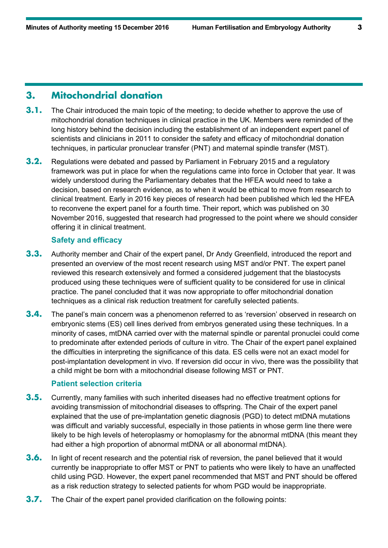## **3. Mitochondrial donation**

- **3.1.** The Chair introduced the main topic of the meeting; to decide whether to approve the use of mitochondrial donation techniques in clinical practice in the UK. Members were reminded of the long history behind the decision including the establishment of an independent expert panel of scientists and clinicians in 2011 to consider the safety and efficacy of mitochondrial donation techniques, in particular pronuclear transfer (PNT) and maternal spindle transfer (MST).
- **3.2.** Regulations were debated and passed by Parliament in February 2015 and a regulatory framework was put in place for when the regulations came into force in October that year. It was widely understood during the Parliamentary debates that the HFEA would need to take a decision, based on research evidence, as to when it would be ethical to move from research to clinical treatment. Early in 2016 key pieces of research had been published which led the HFEA to reconvene the expert panel for a fourth time. Their report, which was published on 30 November 2016, suggested that research had progressed to the point where we should consider offering it in clinical treatment.

#### **Safety and efficacy**

- **3.3.** Authority member and Chair of the expert panel, Dr Andy Greenfield, introduced the report and presented an overview of the most recent research using MST and/or PNT. The expert panel reviewed this research extensively and formed a considered judgement that the blastocysts produced using these techniques were of sufficient quality to be considered for use in clinical practice. The panel concluded that it was now appropriate to offer mitochondrial donation techniques as a clinical risk reduction treatment for carefully selected patients.
- **3.4.** The panel's main concern was a phenomenon referred to as 'reversion' observed in research on embryonic stems (ES) cell lines derived from embryos generated using these techniques. In a minority of cases, mtDNA carried over with the maternal spindle or parental pronuclei could come to predominate after extended periods of culture in vitro. The Chair of the expert panel explained the difficulties in interpreting the significance of this data. ES cells were not an exact model for post-implantation development in vivo. If reversion did occur in vivo, there was the possibility that a child might be born with a mitochondrial disease following MST or PNT.

#### **Patient selection criteria**

- **3.5.** Currently, many families with such inherited diseases had no effective treatment options for avoiding transmission of mitochondrial diseases to offspring. The Chair of the expert panel explained that the use of pre-implantation genetic diagnosis (PGD) to detect mtDNA mutations was difficult and variably successful, especially in those patients in whose germ line there were likely to be high levels of heteroplasmy or homoplasmy for the abnormal mtDNA (this meant they had either a high proportion of abnormal mtDNA or all abonormal mtDNA).
- **3.6.** In light of recent research and the potential risk of reversion, the panel believed that it would currently be inappropriate to offer MST or PNT to patients who were likely to have an unaffected child using PGD. However, the expert panel recommended that MST and PNT should be offered as a risk reduction strategy to selected patients for whom PGD would be inappropriate.
- **3.7.** The Chair of the expert panel provided clarification on the following points: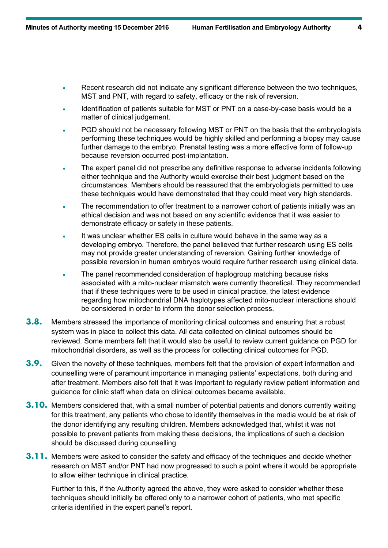- Recent research did not indicate any significant difference between the two techniques, MST and PNT, with regard to safety, efficacy or the risk of reversion.
- Identification of patients suitable for MST or PNT on a case-by-case basis would be a matter of clinical judgement.
- PGD should not be necessary following MST or PNT on the basis that the embryologists performing these techniques would be highly skilled and performing a biopsy may cause further damage to the embryo. Prenatal testing was a more effective form of follow-up because reversion occurred post-implantation.
- The expert panel did not prescribe any definitive response to adverse incidents following either technique and the Authority would exercise their best judgment based on the circumstances. Members should be reassured that the embryologists permitted to use these techniques would have demonstrated that they could meet very high standards.
- The recommendation to offer treatment to a narrower cohort of patients initially was an ethical decision and was not based on any scientific evidence that it was easier to demonstrate efficacy or safety in these patients.
- It was unclear whether ES cells in culture would behave in the same way as a developing embryo. Therefore, the panel believed that further research using ES cells may not provide greater understanding of reversion. Gaining further knowledge of possible reversion in human embryos would require further research using clinical data.
- The panel recommended consideration of haplogroup matching because risks associated with a mito-nuclear mismatch were currently theoretical. They recommended that if these techniques were to be used in clinical practice, the latest evidence regarding how mitochondrial DNA haplotypes affected mito-nuclear interactions should be considered in order to inform the donor selection process.
- **3.8.** Members stressed the importance of monitoring clinical outcomes and ensuring that a robust system was in place to collect this data. All data collected on clinical outcomes should be reviewed. Some members felt that it would also be useful to review current guidance on PGD for mitochondrial disorders, as well as the process for collecting clinical outcomes for PGD.
- **3.9.** Given the novelty of these techniques, members felt that the provision of expert information and counselling were of paramount importance in managing patients' expectations, both during and after treatment. Members also felt that it was important to regularly review patient information and guidance for clinic staff when data on clinical outcomes became available.
- **3.10.** Members considered that, with a small number of potential patients and donors currently waiting for this treatment, any patients who chose to identify themselves in the media would be at risk of the donor identifying any resulting children. Members acknowledged that, whilst it was not possible to prevent patients from making these decisions, the implications of such a decision should be discussed during counselling.
- **3.11.** Members were asked to consider the safety and efficacy of the techniques and decide whether research on MST and/or PNT had now progressed to such a point where it would be appropriate to allow either technique in clinical practice.

Further to this, if the Authority agreed the above, they were asked to consider whether these techniques should initially be offered only to a narrower cohort of patients, who met specific criteria identified in the expert panel's report.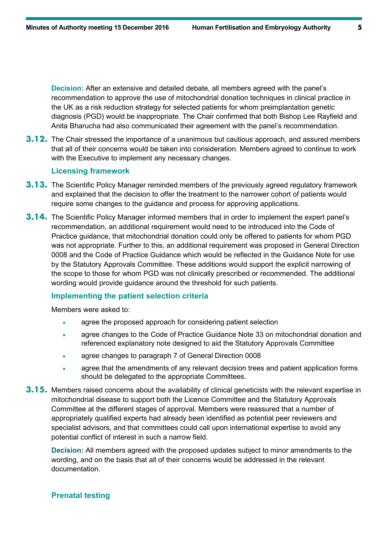**Decision:** After an extensive and detailed debate, all members agreed with the panel's recommendation to approve the use of mitochondrial donation techniques in clinical practice in the UK as a risk reduction strategy for selected patients for whom preimplantation genetic diagnosis (PGD) would be inappropriate. The Chair confirmed that both Bishop Lee Rayfield and Anita Bharucha had also communicated their agreement with the panel's recommendation.

**3.12.** The Chair stressed the importance of a unanimous but cautious approach, and assured members that all of their concerns would be taken into consideration. Members agreed to continue to work with the Executive to implement any necessary changes.

#### **Licensing framework**

- **3.13.** The Scientific Policy Manager reminded members of the previously agreed regulatory framework and explained that the decision to offer the treatment to the narrower cohort of patients would require some changes to the guidance and process for approving applications.
- **3.14.** The Scientific Policy Manager informed members that in order to implement the expert panel's recommendation, an additional requirement would need to be introduced into the Code of Practice guidance, that mitochondrial donation could only be offered to patients for whom PGD was not appropriate. Further to this, an additional requirement was proposed in General Direction 0008 and the Code of Practice Guidance which would be reflected in the Guidance Note for use by the Statutory Approvals Committee. These additions would support the explicit narrowing of the scope to those for whom PGD was not clinically prescribed or recommended. The additional wording would provide guidance around the threshold for such patients.

### **Implementing the patient selection criteria**

Members were asked to:

- agree the proposed approach for considering patient selection
- agree changes to the Code of Practice Guidance Note 33 on mitochondrial donation and referenced explanatory note designed to aid the Statutory Approvals Committee
- agree changes to paragraph 7 of General Direction 0008
- agree that the amendments of any relevant decision trees and patient application forms should be delegated to the appropriate Committees.
- **3.15.** Members raised concerns about the availability of clinical geneticists with the relevant expertise in mitochondrial disease to support both the Licence Committee and the Statutory Approvals Committee at the different stages of approval. Members were reassured that a number of appropriately qualified experts had already been identified as potential peer reviewers and specialist advisors, and that committees could call upon international expertise to avoid any potential conflict of interest in such a narrow field.

**Decision:** All members agreed with the proposed updates subject to minor amendments to the wording, and on the basis that all of their concerns would be addressed in the relevant documentation.

#### **Prenatal testing**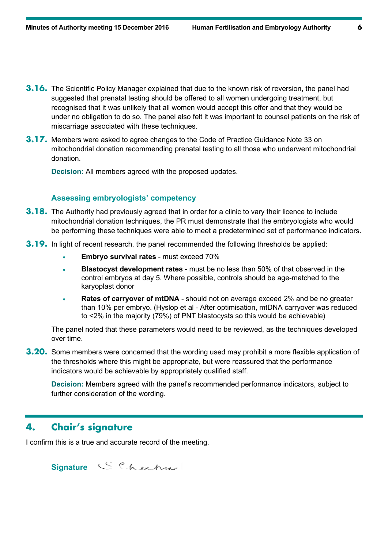- **3.16.** The Scientific Policy Manager explained that due to the known risk of reversion, the panel had suggested that prenatal testing should be offered to all women undergoing treatment, but recognised that it was unlikely that all women would accept this offer and that they would be under no obligation to do so. The panel also felt it was important to counsel patients on the risk of miscarriage associated with these techniques.
- **3.17.** Members were asked to agree changes to the Code of Practice Guidance Note 33 on mitochondrial donation recommending prenatal testing to all those who underwent mitochondrial donation.

**Decision:** All members agreed with the proposed updates.

#### **Assessing embryologists' competency**

- **3.18.** The Authority had previously agreed that in order for a clinic to vary their licence to include mitochondrial donation techniques, the PR must demonstrate that the embryologists who would be performing these techniques were able to meet a predetermined set of performance indicators.
- **3.19.** In light of recent research, the panel recommended the following thresholds be applied:
	- **Embryo survival rates** must exceed 70%
	- **Blastocyst development rates** must be no less than 50% of that observed in the control embryos at day 5. Where possible, controls should be age-matched to the karyoplast donor
	- **Rates of carryover of mtDNA** should not on average exceed 2% and be no greater than 10% per embryo. (Hyslop et al - After optimisation, mtDNA carryover was reduced to <2% in the majority (79%) of PNT blastocysts so this would be achievable)

The panel noted that these parameters would need to be reviewed, as the techniques developed over time.

**3.20.** Some members were concerned that the wording used may prohibit a more flexible application of the thresholds where this might be appropriate, but were reassured that the performance indicators would be achievable by appropriately qualified staff.

**Decision:** Members agreed with the panel's recommended performance indicators, subject to further consideration of the wording.

## **4. Chair's signature**

I confirm this is a true and accurate record of the meeting.

**Signature**